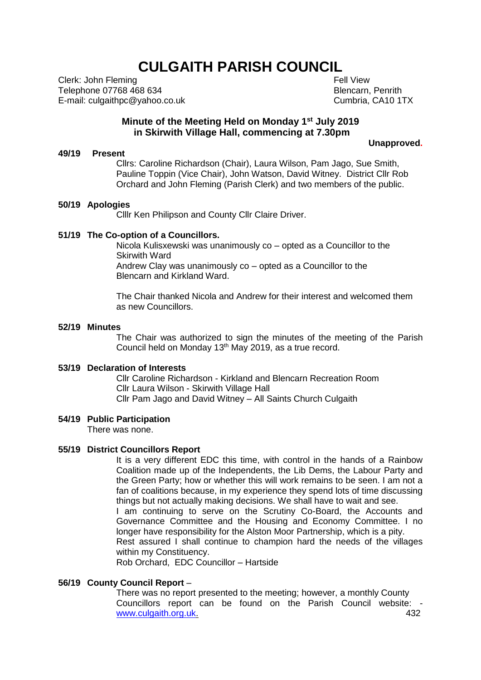# **CULGAITH PARISH COUNCIL**

Clerk: John Fleming Telephone 07768 468 634 E-mail: culgaithpc@yahoo.co.uk  Fell View Blencarn, Penrith Cumbria, CA10 1TX

# **Minute of the Meeting Held on Monday 1 st July 2019 in Skirwith Village Hall, commencing at 7.30pm**

#### **Unapproved.**

#### **49/19 Present**

Cllrs: Caroline Richardson (Chair), Laura Wilson, Pam Jago, Sue Smith, Pauline Toppin (Vice Chair), John Watson, David Witney. District Cllr Rob Orchard and John Fleming (Parish Clerk) and two members of the public.

#### **50/19 Apologies**

Clllr Ken Philipson and County Cllr Claire Driver.

## **51/19 The Co-option of a Councillors.**

Nicola Kulisxewski was unanimously co – opted as a Councillor to the Skirwith Ward Andrew Clay was unanimously co – opted as a Councillor to the Blencarn and Kirkland Ward.

The Chair thanked Nicola and Andrew for their interest and welcomed them as new Councillors.

#### **52/19 Minutes**

The Chair was authorized to sign the minutes of the meeting of the Parish Council held on Monday 13<sup>th</sup> May 2019, as a true record.

## **53/19 Declaration of Interests**

Cllr Caroline Richardson - Kirkland and Blencarn Recreation Room Cllr Laura Wilson - Skirwith Village Hall Cllr Pam Jago and David Witney – All Saints Church Culgaith

#### **54/19 Public Participation**

There was none.

#### **55/19 District Councillors Report**

It is a very different EDC this time, with control in the hands of a Rainbow Coalition made up of the Independents, the Lib Dems, the Labour Party and the Green Party; how or whether this will work remains to be seen. I am not a fan of coalitions because, in my experience they spend lots of time discussing things but not actually making decisions. We shall have to wait and see. I am continuing to serve on the Scrutiny Co-Board, the Accounts and

Governance Committee and the Housing and Economy Committee. I no longer have responsibility for the Alston Moor Partnership, which is a pity. Rest assured I shall continue to champion hard the needs of the villages

within my Constituency.

Rob Orchard, EDC Councillor – Hartside

## **56/19 County Council Report** –

There was no report presented to the meeting; however, a monthly County Councillors report can be found on the Parish Council website: [www.culgaith.org.uk.](http://www.culgaith.org.uk/) 432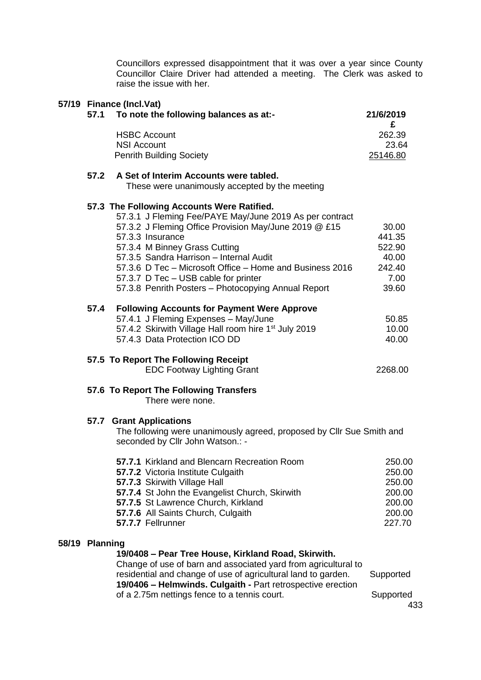Councillors expressed disappointment that it was over a year since County Councillor Claire Driver had attended a meeting. The Clerk was asked to raise the issue with her.

|                | 57.1 | 57/19 Finance (Incl.Vat)<br>To note the following balances as at:-                                                                                                                                                                                                                                                                                                                                                        | 21/6/2019                                                          |
|----------------|------|---------------------------------------------------------------------------------------------------------------------------------------------------------------------------------------------------------------------------------------------------------------------------------------------------------------------------------------------------------------------------------------------------------------------------|--------------------------------------------------------------------|
|                |      | <b>HSBC Account</b><br><b>NSI Account</b><br><b>Penrith Building Society</b>                                                                                                                                                                                                                                                                                                                                              | £<br>262.39<br>23.64<br>25146.80                                   |
|                | 57.2 | A Set of Interim Accounts were tabled.<br>These were unanimously accepted by the meeting                                                                                                                                                                                                                                                                                                                                  |                                                                    |
|                |      | 57.3 The Following Accounts Were Ratified.<br>57.3.1 J Fleming Fee/PAYE May/June 2019 As per contract<br>57.3.2 J Fleming Office Provision May/June 2019 @ £15<br>57.3.3 Insurance<br>57.3.4 M Binney Grass Cutting<br>57.3.5 Sandra Harrison - Internal Audit<br>57.3.6 D Tec - Microsoft Office - Home and Business 2016<br>57.3.7 D Tec - USB cable for printer<br>57.3.8 Penrith Posters - Photocopying Annual Report | 30.00<br>441.35<br>522.90<br>40.00<br>242.40<br>7.00<br>39.60      |
|                | 57.4 | <b>Following Accounts for Payment Were Approve</b><br>57.4.1 J Fleming Expenses - May/June<br>57.4.2 Skirwith Village Hall room hire 1 <sup>st</sup> July 2019<br>57.4.3 Data Protection ICO DD                                                                                                                                                                                                                           | 50.85<br>10.00<br>40.00                                            |
|                |      | 57.5 To Report The Following Receipt<br><b>EDC Footway Lighting Grant</b>                                                                                                                                                                                                                                                                                                                                                 | 2268.00                                                            |
|                |      | 57.6 To Report The Following Transfers<br>There were none.                                                                                                                                                                                                                                                                                                                                                                |                                                                    |
|                |      | 57.7 Grant Applications<br>The following were unanimously agreed, proposed by CIIr Sue Smith and<br>seconded by Cllr John Watson.: -                                                                                                                                                                                                                                                                                      |                                                                    |
|                |      | 57.7.1 Kirkland and Blencarn Recreation Room<br>57.7.2 Victoria Institute Culgaith<br>57.7.3 Skirwith Village Hall<br>57.7.4 St John the Evangelist Church, Skirwith<br>57.7.5 St Lawrence Church, Kirkland<br>57.7.6 All Saints Church, Culgaith<br>57.7.7 Fellrunner                                                                                                                                                    | 250.00<br>250.00<br>250.00<br>200.00<br>200.00<br>200.00<br>227.70 |
| 58/19 Planning |      | 19/0408 - Pear Tree House, Kirkland Road, Skirwith.<br>Change of use of barn and associated yard from agricultural to<br>residential and change of use of agricultural land to garden.<br>19/0406 - Helmwinds. Culgaith - Part retrospective erection<br>of a 2.75m nettings fence to a tennis court.                                                                                                                     | Supported<br>Supported                                             |

433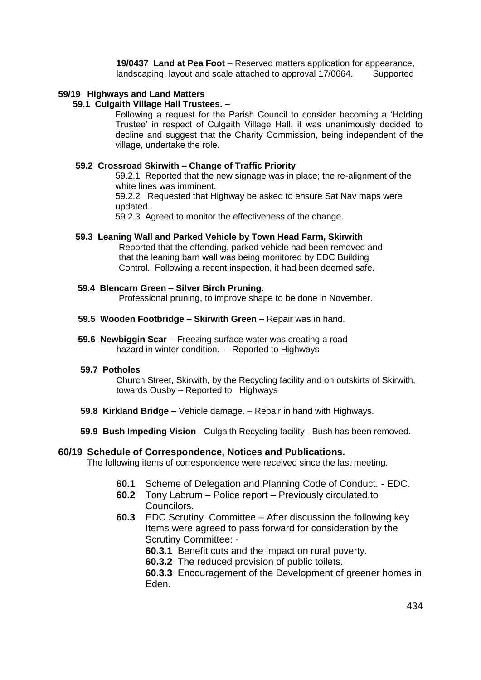**19/0437 Land at Pea Foot** – Reserved matters application for appearance, landscaping, layout and scale attached to approval 17/0664. Supported

# **59/19 Highways and Land Matters**

# **59.1 Culgaith Village Hall Trustees. –**

Following a request for the Parish Council to consider becoming a 'Holding Trustee' in respect of Culgaith Village Hall, it was unanimously decided to decline and suggest that the Charity Commission, being independent of the village, undertake the role.

# **59.2 Crossroad Skirwith – Change of Traffic Priority**

59.2.1 Reported that the new signage was in place; the re-alignment of the white lines was imminent.

59.2.2 Requested that Highway be asked to ensure Sat Nav maps were updated.

59.2.3 Agreed to monitor the effectiveness of the change.

# **59.3 Leaning Wall and Parked Vehicle by Town Head Farm, Skirwith**

Reported that the offending, parked vehicle had been removed and that the leaning barn wall was being monitored by EDC Building Control. Following a recent inspection, it had been deemed safe.

## **59.4 Blencarn Green – Silver Birch Pruning.**

Professional pruning, to improve shape to be done in November.

- **59.5 Wooden Footbridge – Skirwith Green –** Repair was in hand.
- **59.6 Newbiggin Scar** Freezing surface water was creating a road hazard in winter condition. - Reported to Highways

## **59.7 Potholes**

Church Street, Skirwith, by the Recycling facility and on outskirts of Skirwith, towards Ousby – Reported to Highways

- **59.8 Kirkland Bridge –** Vehicle damage. Repair in hand with Highways.
- **59.9 Bush Impeding Vision** Culgaith Recycling facility– Bush has been removed.

## **60/19 Schedule of Correspondence, Notices and Publications.**

The following items of correspondence were received since the last meeting.

- **60.1** Scheme of Delegation and Planning Code of Conduct. EDC.
- **60.2** Tony Labrum Police report Previously circulated.to Councilors.
- **60.3** EDC Scrutiny Committee After discussion the following key Items were agreed to pass forward for consideration by the Scrutiny Committee: -
	- **60.3.1** Benefit cuts and the impact on rural poverty.
	- **60.3.2** The reduced provision of public toilets.

**60.3.3** Encouragement of the Development of greener homes in Eden.